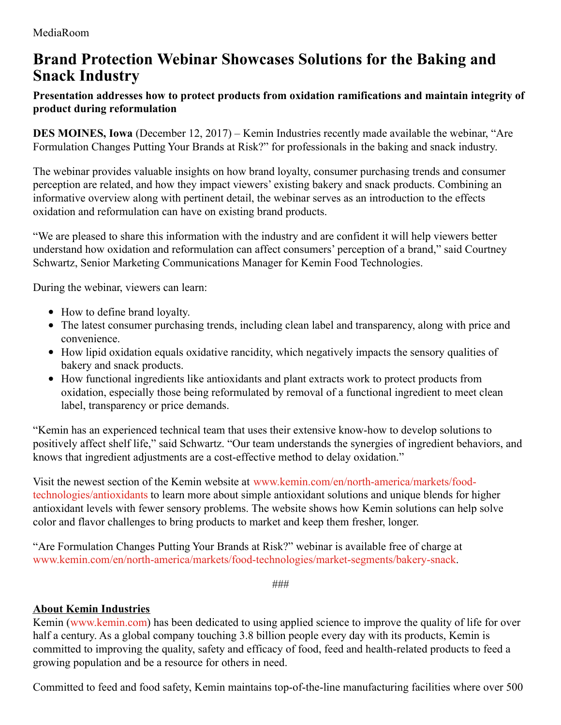## **Brand Protection Webinar Showcases Solutions for the Baking and Snack Industry**

## **Presentation addresses how to protect products from oxidation ramifications and maintain integrity of product during reformulation**

**DES MOINES, Iowa** (December 12, 2017) – Kemin Industries recently made available the webinar, "Are Formulation Changes Putting Your Brands at Risk?" for professionals in the baking and snack industry.

The webinar provides valuable insights on how brand loyalty, consumer purchasing trends and consumer perception are related, and how they impact viewers' existing bakery and snack products. Combining an informative overview along with pertinent detail, the webinar serves as an introduction to the effects oxidation and reformulation can have on existing brand products.

"We are pleased to share this information with the industry and are confident it will help viewers better understand how oxidation and reformulation can affect consumers' perception of a brand," said Courtney Schwartz, Senior Marketing Communications Manager for Kemin Food Technologies.

During the webinar, viewers can learn:

- How to define brand loyalty.
- The latest consumer purchasing trends, including clean label and transparency, along with price and convenience.
- How lipid oxidation equals oxidative rancidity, which negatively impacts the sensory qualities of bakery and snack products.
- How functional ingredients like antioxidants and plant extracts work to protect products from oxidation, especially those being reformulated by removal of a functional ingredient to meet clean label, transparency or price demands.

"Kemin has an experienced technical team that uses their extensive know-how to develop solutions to positively affect shelf life," said Schwartz. "Our team understands the synergies of ingredient behaviors, and knows that ingredient adjustments are a cost-effective method to delay oxidation."

Visit the newest section of the Kemin website at [www.kemin.com/en/north-america/markets/food](https://www.kemin.com/en/north-america/markets/food-technologies/antioxidants)technologies/antioxidants to learn more about simple antioxidant solutions and unique blends for higher antioxidant levels with fewer sensory problems. The website shows how Kemin solutions can help solve color and flavor challenges to bring products to market and keep them fresher, longer.

"Are Formulation Changes Putting Your Brands at Risk?" webinar is available free of charge at [www.kemin.com/en/north-america/markets/food-technologies/market-segments/bakery-snack.](https://www.kemin.com/en/north-america/markets/food-technologies/market-segments/bakery-snack)

*###*

## **About Kemin Industries**

Kemin [\(www.kemin.com](http://www.kemin.com/)) has been dedicated to using applied science to improve the quality of life for over half a century. As a global company touching 3.8 billion people every day with its products, Kemin is committed to improving the quality, safety and efficacy of food, feed and health-related products to feed a growing population and be a resource for others in need.

Committed to feed and food safety, Kemin maintains top-of-the-line manufacturing facilities where over 500